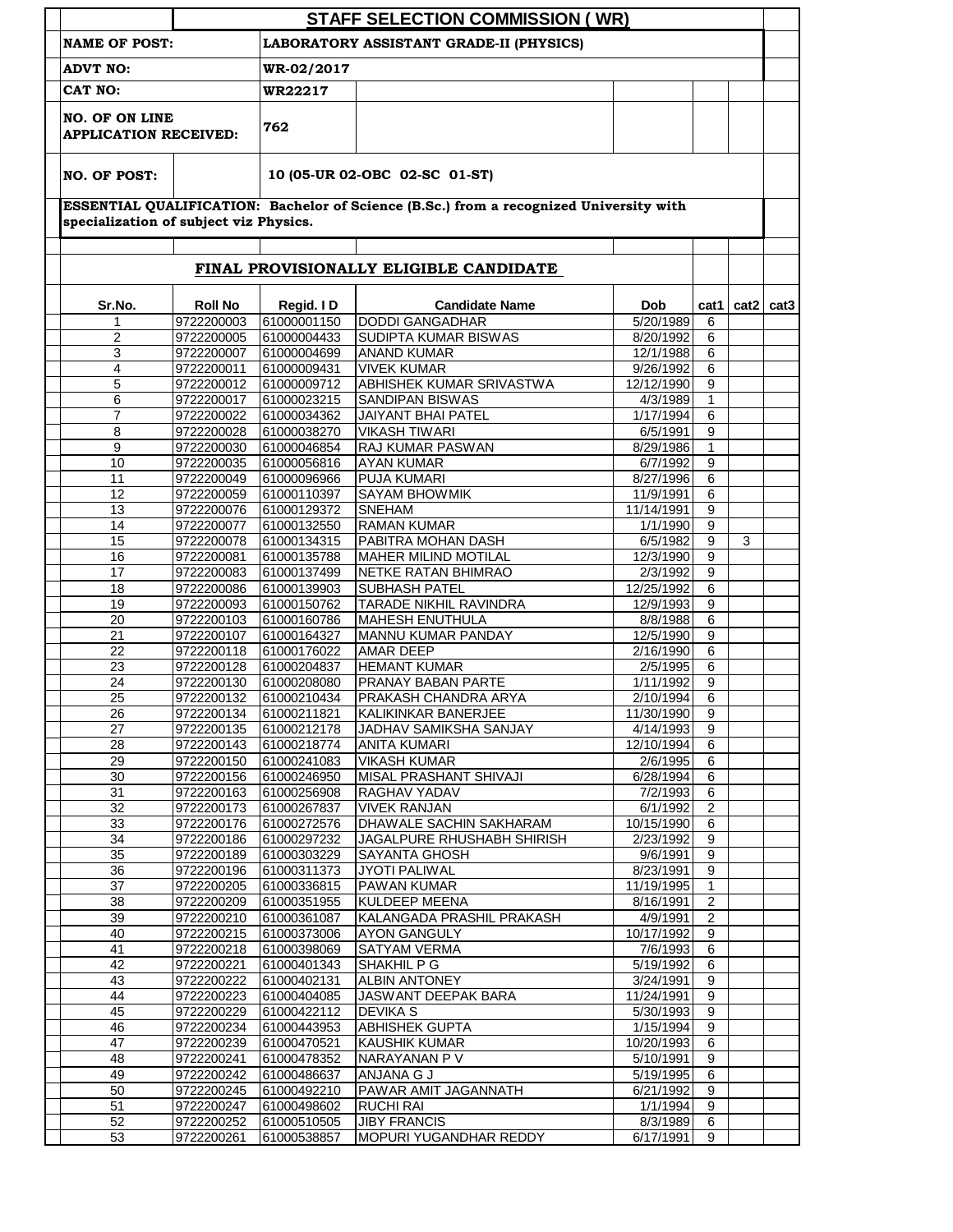|                                                                                     |                                        |                            | <b>STAFF SELECTION COMMISSION (WR)</b>                                                 |                        |                     |               |  |
|-------------------------------------------------------------------------------------|----------------------------------------|----------------------------|----------------------------------------------------------------------------------------|------------------------|---------------------|---------------|--|
| <b>NAME OF POST:</b><br>LABORATORY ASSISTANT GRADE-II (PHYSICS)                     |                                        |                            |                                                                                        |                        |                     |               |  |
| <b>ADVT NO:</b><br>CAT NO:<br><b>NO. OF ON LINE</b><br><b>APPLICATION RECEIVED:</b> |                                        | WR-02/2017                 |                                                                                        |                        |                     |               |  |
|                                                                                     |                                        | <b>WR22217</b>             |                                                                                        |                        |                     |               |  |
|                                                                                     |                                        | 762                        |                                                                                        |                        |                     |               |  |
| <b>NO. OF POST:</b>                                                                 |                                        |                            | 10 (05-UR 02-OBC 02-SC 01-ST)                                                          |                        |                     |               |  |
|                                                                                     | specialization of subject viz Physics. |                            | ESSENTIAL QUALIFICATION: Bachelor of Science (B.Sc.) from a recognized University with |                        |                     |               |  |
| FINAL PROVISIONALLY ELIGIBLE CANDIDATE                                              |                                        |                            |                                                                                        |                        |                     |               |  |
| Sr.No.                                                                              | <b>Roll No</b>                         | Regid. ID                  | <b>Candidate Name</b>                                                                  | Dob                    | cat1                | $cat2$ $cat3$ |  |
| 1                                                                                   | 9722200003                             | 61000001150                | <b>DODDI GANGADHAR</b>                                                                 | 5/20/1989              | 6                   |               |  |
| $\overline{2}$                                                                      | 9722200005                             | 61000004433                | <b>SUDIPTA KUMAR BISWAS</b>                                                            | 8/20/1992              | 6                   |               |  |
| 3                                                                                   | 9722200007                             | 61000004699                | <b>ANAND KUMAR</b>                                                                     | 12/1/1988              | 6                   |               |  |
| 4                                                                                   | 9722200011                             | 61000009431                | <b>VIVEK KUMAR</b>                                                                     | 9/26/1992              | 6                   |               |  |
| 5                                                                                   | 9722200012                             | 61000009712                | <b>ABHISHEK KUMAR SRIVASTWA</b>                                                        | 12/12/1990             | 9                   |               |  |
| 6                                                                                   | 9722200017                             | 61000023215                | <b>SANDIPAN BISWAS</b>                                                                 | 4/3/1989               | $\mathbf{1}$        |               |  |
| $\overline{7}$                                                                      | 9722200022                             | 61000034362                | <b>JAIYANT BHAI PATEL</b>                                                              | 1/17/1994              | 6                   |               |  |
| 8                                                                                   | 9722200028                             | 61000038270                | <b>VIKASH TIWARI</b>                                                                   | 6/5/1991               | 9                   |               |  |
| 9                                                                                   | 9722200030                             | 61000046854                | RAJ KUMAR PASWAN                                                                       | 8/29/1986              | $\mathbf{1}$        |               |  |
| 10                                                                                  | 9722200035                             | 61000056816                | <b>AYAN KUMAR</b>                                                                      | 6/7/1992               | 9<br>6              |               |  |
| 11<br>12                                                                            | 9722200049<br>9722200059               | 61000096966<br>61000110397 | <b>PUJA KUMARI</b><br>SAYAM BHOWMIK                                                    | 8/27/1996<br>11/9/1991 | 6                   |               |  |
| 13                                                                                  | 9722200076                             | 61000129372                | <b>SNEHAM</b>                                                                          | 11/14/1991             | 9                   |               |  |
| 14                                                                                  | 9722200077                             | 61000132550                | <b>RAMAN KUMAR</b>                                                                     | 1/1/1990               | 9                   |               |  |
| 15                                                                                  | 9722200078                             | 61000134315                | PABITRA MOHAN DASH                                                                     | 6/5/1982               | 9                   | 3             |  |
| 16                                                                                  | 9722200081                             | 61000135788                | <b>MAHER MILIND MOTILAL</b>                                                            | 12/3/1990              | 9                   |               |  |
| 17                                                                                  | 9722200083                             | 61000137499                | NETKE RATAN BHIMRAO                                                                    | 2/3/1992               | 9                   |               |  |
| 18                                                                                  | 9722200086                             | 61000139903                | <b>SUBHASH PATEL</b>                                                                   | 12/25/1992             | 6                   |               |  |
| 19                                                                                  | 9722200093                             | 61000150762                | TARADE NIKHIL RAVINDRA                                                                 | 12/9/1993              | 9                   |               |  |
| 20                                                                                  | 9722200103                             | 61000160786                | <b>MAHESH ENUTHULA</b>                                                                 | 8/8/1988               | 6                   |               |  |
| 21                                                                                  | 9722200107                             | 61000164327                | MANNU KUMAR PANDAY                                                                     | 12/5/1990              | 9                   |               |  |
| 22                                                                                  | 9722200118                             | 61000176022                | <b>AMAR DEEP</b>                                                                       | 2/16/1990              | 6                   |               |  |
| 23                                                                                  | 9722200128                             | 61000204837                | <b>HEMANT KUMAR</b>                                                                    | 2/5/1995               | 6                   |               |  |
| 24                                                                                  | 9722200130                             | 61000208080                | PRANAY BABAN PARTE                                                                     | 1/11/1992              | 9                   |               |  |
| 25                                                                                  | 9722200132                             | 61000210434                | PRAKASH CHANDRA ARYA                                                                   | 2/10/1994              | 6                   |               |  |
| 26                                                                                  | 9722200134                             | 61000211821                | KALIKINKAR BANERJEE                                                                    | 11/30/1990             | 9                   |               |  |
| 27                                                                                  | 9722200135                             | 61000212178                | JADHAV SAMIKSHA SANJAY                                                                 | 4/14/1993              | 9                   |               |  |
| 28<br>29                                                                            | 9722200143<br>9722200150               | 61000218774<br>61000241083 | <b>ANITA KUMARI</b><br><b>VIKASH KUMAR</b>                                             | 12/10/1994<br>2/6/1995 | 6<br>$\overline{6}$ |               |  |
| 30                                                                                  | 9722200156                             | 61000246950                | MISAL PRASHANT SHIVAJI                                                                 | 6/28/1994              | 6                   |               |  |
| 31                                                                                  | 9722200163                             | 61000256908                | RAGHAV YADAV                                                                           | 7/2/1993               | $6\overline{6}$     |               |  |
| 32                                                                                  | 9722200173                             | 61000267837                | <b>VIVEK RANJAN</b>                                                                    | 6/1/1992               | $\overline{2}$      |               |  |
| 33                                                                                  | 9722200176                             | 61000272576                | DHAWALE SACHIN SAKHARAM                                                                | 10/15/1990             | 6                   |               |  |
| 34                                                                                  | 9722200186                             | 61000297232                | <b>JAGALPURE RHUSHABH SHIRISH</b>                                                      | 2/23/1992              | 9                   |               |  |
| 35                                                                                  | 9722200189                             | 61000303229                | SAYANTA GHOSH                                                                          | 9/6/1991               | 9                   |               |  |
| 36                                                                                  | 9722200196                             | 61000311373                | JYOTI PALIWAL                                                                          | 8/23/1991              | 9                   |               |  |
| 37                                                                                  | 9722200205                             | 61000336815                | PAWAN KUMAR                                                                            | 11/19/1995             | 1                   |               |  |
| 38                                                                                  | 9722200209                             | 61000351955                | <b>KULDEEP MEENA</b>                                                                   | 8/16/1991              | $\overline{2}$      |               |  |
| 39                                                                                  | 9722200210                             | 61000361087                | KALANGADA PRASHIL PRAKASH                                                              | 4/9/1991               | 2                   |               |  |
| 40                                                                                  | 9722200215                             | 61000373006                | <b>AYON GANGULY</b>                                                                    | 10/17/1992             | 9                   |               |  |
| 41                                                                                  | 9722200218                             | 61000398069                | <b>SATYAM VERMA</b>                                                                    | 7/6/1993               | 6                   |               |  |
| 42<br>43                                                                            | 9722200221<br>9722200222               | 61000401343<br>61000402131 | <b>SHAKHIL P G</b><br><b>ALBIN ANTONEY</b>                                             | 5/19/1992<br>3/24/1991 | 6<br>9              |               |  |
| 44                                                                                  | 9722200223                             | 61000404085                | JASWANT DEEPAK BARA                                                                    | 11/24/1991             | 9                   |               |  |
| 45                                                                                  | 9722200229                             | 61000422112                | <b>DEVIKA S</b>                                                                        | 5/30/1993              | $\boldsymbol{9}$    |               |  |
| 46                                                                                  | 9722200234                             | 61000443953                | <b>ABHISHEK GUPTA</b>                                                                  | 1/15/1994              | 9                   |               |  |
| 47                                                                                  | 9722200239                             | 61000470521                | <b>KAUSHIK KUMAR</b>                                                                   | 10/20/1993             | 6                   |               |  |
| 48                                                                                  | 9722200241                             | 61000478352                | NARAYANAN P V                                                                          | 5/10/1991              | 9                   |               |  |
| 49                                                                                  | 9722200242                             | 61000486637                | ANJANA G J                                                                             | 5/19/1995              | 6                   |               |  |
| 50                                                                                  | 9722200245                             | 61000492210                | PAWAR AMIT JAGANNATH                                                                   | 6/21/1992              | 9                   |               |  |
| 51                                                                                  | 9722200247                             | 61000498602                | <b>RUCHI RAI</b>                                                                       | 1/1/1994               | 9                   |               |  |
| 52                                                                                  | 9722200252                             | 61000510505                | <b>JIBY FRANCIS</b>                                                                    | 8/3/1989               | 6                   |               |  |
| 53                                                                                  | 9722200261                             | 61000538857                | MOPURI YUGANDHAR REDDY                                                                 | 6/17/1991              | 9                   |               |  |
|                                                                                     |                                        |                            |                                                                                        |                        |                     |               |  |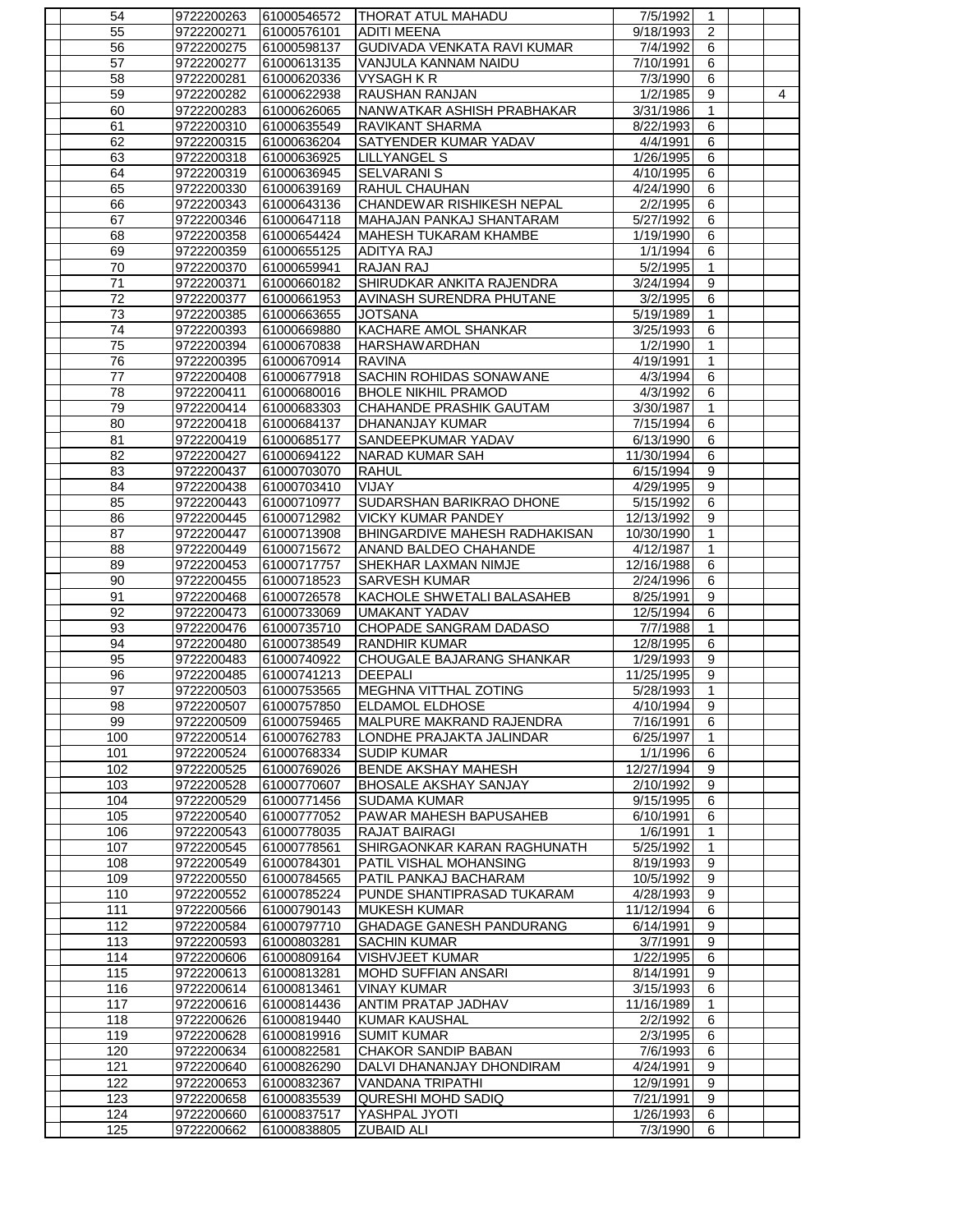| 54         | 9722200263               | 61000546572                | THORAT ATUL MAHADU                 | 7/5/1992               | 1                |   |
|------------|--------------------------|----------------------------|------------------------------------|------------------------|------------------|---|
| 55         | 9722200271               | 61000576101                | <b>ADITI MEENA</b>                 | 9/18/1993              | $\boldsymbol{2}$ |   |
| 56         | 9722200275               | 61000598137                | GUDIVADA VENKATA RAVI KUMAR        | 7/4/1992               | 6                |   |
| 57         | 9722200277               | 61000613135                | VANJULA KANNAM NAIDU               | 7/10/1991              | 6                |   |
| 58         | 9722200281               | 61000620336                | <b>VYSAGH K R</b>                  | 7/3/1990               | 6                |   |
| 59         | 9722200282               | 61000622938                | <b>RAUSHAN RANJAN</b>              | 1/2/1985               | $\overline{9}$   | 4 |
| 60         | 9722200283               | 61000626065                | NANWATKAR ASHISH PRABHAKAR         | 3/31/1986              | 1                |   |
| 61         | 9722200310               | 61000635549                | <b>RAVIKANT SHARMA</b>             | 8/22/1993              | 6                |   |
| 62         | 9722200315               | 61000636204                | SATYENDER KUMAR YADAV              | 4/4/1991               | 6                |   |
| 63         | 9722200318               | 61000636925                | <b>LILLYANGEL S</b>                | 1/26/1995              | 6                |   |
| 64         | 9722200319               | 61000636945                | <b>SELVARANI S</b>                 | 4/10/1995              | 6                |   |
| 65         | 9722200330               | 61000639169                | <b>RAHUL CHAUHAN</b>               | 4/24/1990              | 6                |   |
| 66         | 9722200343               | 61000643136                | CHANDEWAR RISHIKESH NEPAL          | 2/2/1995               | 6                |   |
| 67         | 9722200346               | 61000647118                | MAHAJAN PANKAJ SHANTARAM           | 5/27/1992              | 6                |   |
| 68         | 9722200358               | 61000654424                | <b>MAHESH TUKARAM KHAMBE</b>       | 1/19/1990              | 6                |   |
| 69         | 9722200359               | 61000655125                | <b>ADITYA RAJ</b>                  | 1/1/1994               | 6                |   |
| 70         | 9722200370               | 61000659941                | <b>RAJAN RAJ</b>                   | 5/2/1995               | $\mathbf{1}$     |   |
| 71         | 9722200371               | 61000660182                | SHIRUDKAR ANKITA RAJENDRA          | 3/24/1994              | 9                |   |
| 72         | 9722200377               | 61000661953                | AVINASH SURENDRA PHUTANE           | $\frac{1}{3}/2/1995$   | 6                |   |
| 73         | 9722200385               | 61000663655                | <b>JOTSANA</b>                     | 5/19/1989              | $\mathbf{1}$     |   |
| 74         | 9722200393               | 61000669880                | KACHARE AMOL SHANKAR               | 3/25/1993              | 6                |   |
| 75         | 9722200394               | 61000670838                | <b>HARSHAWARDHAN</b>               | 1/2/1990               | $\mathbf{1}$     |   |
| 76         | 9722200395               | 61000670914                | <b>RAVINA</b>                      | 4/19/1991              | 1                |   |
| 77         | 9722200408               | 61000677918                | SACHIN ROHIDAS SONAWANE            | 4/3/1994               | 6                |   |
| 78         | 9722200411               | 61000680016                | <b>BHOLE NIKHIL PRAMOD</b>         | 4/3/1992               | 6                |   |
| 79         | 9722200414               | 61000683303                | CHAHANDE PRASHIK GAUTAM            | 3/30/1987              | $\mathbf{1}$     |   |
| 80         | 9722200418               | 61000684137                | DHANANJAY KUMAR                    | 7/15/1994              | 6                |   |
| 81         | 9722200419               | 61000685177                | SANDEEPKUMAR YADAV                 | 6/13/1990              | 6                |   |
| 82         | 9722200427               | 61000694122                | <b>NARAD KUMAR SAH</b>             | 11/30/1994             | 6                |   |
| 83         | 9722200437               | 61000703070                | <b>RAHUL</b>                       | 6/15/1994              | 9                |   |
| 84         | 9722200438               | 61000703410                | VIJAY                              | 4/29/1995              | $\overline{9}$   |   |
| 85         | 9722200443               | 61000710977                | SUDARSHAN BARIKRAO DHONE           | $\overline{5/15/1992}$ | 6                |   |
| 86         | 9722200445               | 61000712982                | <b>VICKY KUMAR PANDEY</b>          | 12/13/1992             | 9                |   |
| 87         | 9722200447               | 61000713908                | BHINGARDIVE MAHESH RADHAKISAN      | 10/30/1990             | $\mathbf{1}$     |   |
| 88         | 9722200449               | 61000715672                | ANAND BALDEO CHAHANDE              | 4/12/1987              | $\mathbf{1}$     |   |
| 89         | 9722200453               | 61000717757                | SHEKHAR LAXMAN NIMJE               | 12/16/1988             | 6                |   |
| 90         | 9722200455               | 61000718523                | <b>SARVESH KUMAR</b>               | 2/24/1996              | 6                |   |
| 91         | 9722200468               | 61000726578                | KACHOLE SHWETALI BALASAHEB         | 8/25/1991              | 9                |   |
| 92         | 9722200473               | 61000733069                | <b>UMAKANT YADAV</b>               | 12/5/1994              | 6                |   |
| 93         | 9722200476               | 61000735710                | CHOPADE SANGRAM DADASO             | 7/7/1988               | 1                |   |
| 94         | 9722200480               | 61000738549                | <b>RANDHIR KUMAR</b>               | 12/8/1995              | 6                |   |
| 95         | 9722200483               | 61000740922                | CHOUGALE BAJARANG SHANKAR          | 1/29/1993              | 9                |   |
| 96         | 9722200485               | 61000741213                | <b>DEEPALI</b>                     | 11/25/1995             | 9                |   |
| 97         | 9722200503               | 61000753565                | <b>MEGHNA VITTHAL ZOTING</b>       | 5/28/1993              | $\mathbf{1}$     |   |
| 98         |                          | 9722200507 61000757850     | <b>IELDAMOL ELDHOSE</b>            | 4/10/1994              |                  |   |
|            |                          |                            |                                    |                        |                  |   |
| 99         |                          |                            |                                    |                        | 9                |   |
| 100        | 9722200509               | 61000759465                | MALPURE MAKRAND RAJENDRA           | 7/16/1991              | 6                |   |
|            | 9722200514               | 61000762783                | LONDHE PRAJAKTA JALINDAR           | 6/25/1997              | $\mathbf{1}$     |   |
| 101        | 9722200524               | 61000768334                | <b>SUDIP KUMAR</b>                 | 1/1/1996               | 6                |   |
| 102        | 9722200525               | 61000769026                | BENDE AKSHAY MAHESH                | 12/27/1994             | 9                |   |
| 103        | 9722200528               | 61000770607                | <b>BHOSALE AKSHAY SANJAY</b>       | 2/10/1992              | 9                |   |
| 104        | 9722200529               | 61000771456                | <b>SUDAMA KUMAR</b>                | 9/15/1995              | $\overline{6}$   |   |
| 105        | 9722200540               | 61000777052                | PAWAR MAHESH BAPUSAHEB             | 6/10/1991              | 6                |   |
| 106        | 9722200543               | 61000778035                | RAJAT BAIRAGI                      | 1/6/1991               | $\mathbf{1}$     |   |
| 107        | 9722200545               | 61000778561                | SHIRGAONKAR KARAN RAGHUNATH        | 5/25/1992              | $\mathbf{1}$     |   |
| 108        | 9722200549               | 61000784301                | PATIL VISHAL MOHANSING             | 8/19/1993              | 9                |   |
| 109        | 9722200550               | 61000784565                | PATIL PANKAJ BACHARAM              | 10/5/1992              | $\overline{9}$   |   |
| 110        | 9722200552               | 61000785224                | PUNDE SHANTIPRASAD TUKARAM         | 4/28/1993              | 9                |   |
| 111        | 9722200566               | 61000790143                | <b>MUKESH KUMAR</b>                | 11/12/1994             | 6                |   |
| 112        | 9722200584               | 61000797710                | <b>GHADAGE GANESH PANDURANG</b>    | 6/14/1991              | $\overline{9}$   |   |
| 113        | 9722200593               | 61000803281                | <b>SACHIN KUMAR</b>                | 3/7/1991               | $\overline{9}$   |   |
| 114        | 9722200606               | 61000809164                | VISHVJEET KUMAR                    | 1/22/1995              | 6                |   |
| 115        | 9722200613               | 61000813281                | <b>MOHD SUFFIAN ANSARI</b>         | 8/14/1991              | $\overline{9}$   |   |
| 116        | 9722200614               | 61000813461                | <b>VINAY KUMAR</b>                 | 3/15/1993              | $\overline{6}$   |   |
| 117        | 9722200616               | 61000814436                | ANTIM PRATAP JADHAV                | 11/16/1989             | 1                |   |
| 118        | 9722200626               | 61000819440                | <b>KUMAR KAUSHAL</b>               | 2/2/1992               | 6                |   |
| 119        | 9722200628               | 61000819916                | <b>SUMIT KUMAR</b>                 | 2/3/1995               | 6                |   |
| 120        | 9722200634               | 61000822581                | <b>CHAKOR SANDIP BABAN</b>         | 7/6/1993               | 6                |   |
| 121        | 9722200640               | 61000826290                | DALVI DHANANJAY DHONDIRAM          | 4/24/1991              | 9                |   |
| 122        | 9722200653               | 61000832367                | <b>VANDANA TRIPATHI</b>            | 12/9/1991              | 9                |   |
| 123        | 9722200658               | 61000835539                | <b>QURESHI MOHD SADIQ</b>          | 7/21/1991              | 9                |   |
| 124<br>125 | 9722200660<br>9722200662 | 61000837517<br>61000838805 | YASHPAL JYOTI<br><b>ZUBAID ALI</b> | 1/26/1993<br>7/3/1990  | 6<br>6           |   |